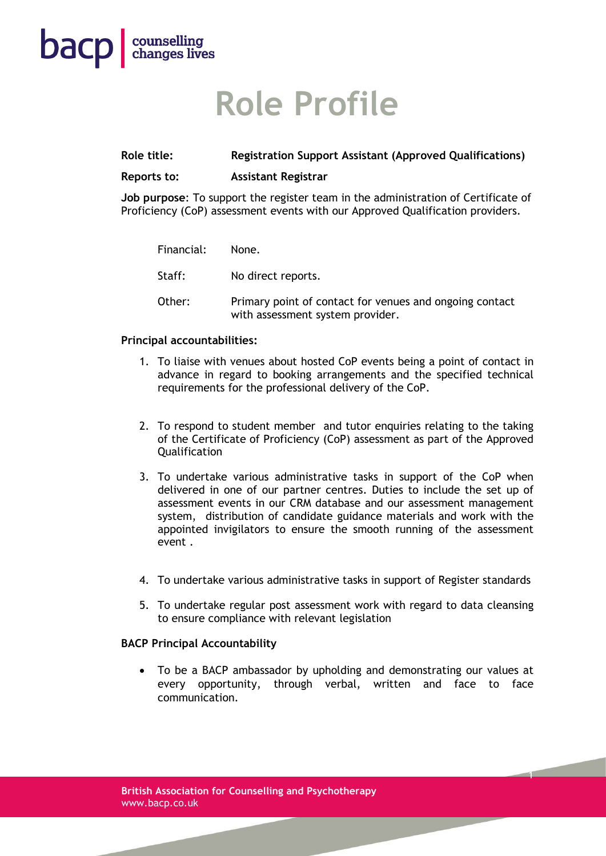# **Role Profile**

### **Role title: Registration Support Assistant (Approved Qualifications)**

#### **Reports to: Assistant Registrar**

**Job purpose**: To support the register team in the administration of Certificate of Proficiency (CoP) assessment events with our Approved Qualification providers.

| Financial: | None.                                                                                       |
|------------|---------------------------------------------------------------------------------------------|
| Staff:     | No direct reports.                                                                          |
| Other:     | Primary point of contact for venues and ongoing contact<br>with assessment system provider. |

### **Principal accountabilities:**

**bacp** counselling

- 1. To liaise with venues about hosted CoP events being a point of contact in advance in regard to booking arrangements and the specified technical requirements for the professional delivery of the CoP.
- 2. To respond to student member and tutor enquiries relating to the taking of the Certificate of Proficiency (CoP) assessment as part of the Approved Qualification
- 3. To undertake various administrative tasks in support of the CoP when delivered in one of our partner centres. Duties to include the set up of assessment events in our CRM database and our assessment management system, distribution of candidate guidance materials and work with the appointed invigilators to ensure the smooth running of the assessment event .
- 4. To undertake various administrative tasks in support of Register standards
- 5. To undertake regular post assessment work with regard to data cleansing to ensure compliance with relevant legislation

### **BACP Principal Accountability**

• To be a BACP ambassador by upholding and demonstrating our values at every opportunity, through verbal, written and face to face communication.

1